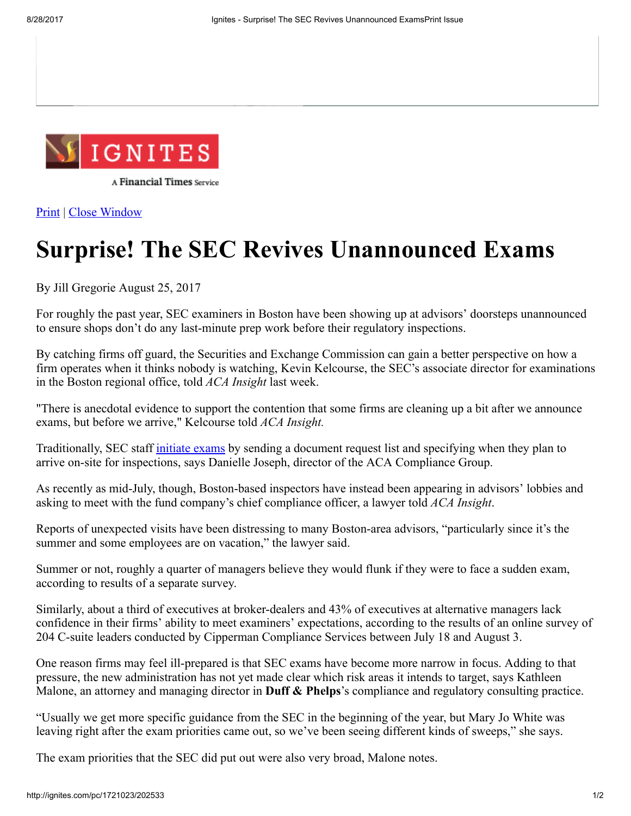

A Financial Times Service

[Print](javascript: window.print();) | Close [Window](javascript: window.close();)

## Surprise! The SEC Revives Unannounced Exams

By Jill Gregorie August 25, 2017

For roughly the past year, SEC examiners in Boston have been showing up at advisors' doorsteps unannounced to ensure shops don't do any last-minute prep work before their regulatory inspections.

By catching firms off guard, the Securities and Exchange Commission can gain a better perspective on how a firm operates when it thinks nobody is watching, Kevin Kelcourse, the SEC's associate director for examinations in the Boston regional office, told *ACA Insight* last week.

"There is anecdotal evidence to support the contention that some firms are cleaning up a bit after we announce exams, but before we arrive," Kelcourse told *ACA Insight.*

Traditionally, SEC staff [initiate](http://ignites.com/c/1671403/196343?referrer_module=article) exams by sending a document request list and specifying when they plan to arrive on-site for inspections, says Danielle Joseph, director of the ACA Compliance Group.

As recently as mid-July, though, Boston-based inspectors have instead been appearing in advisors' lobbies and asking to meet with the fund company's chief compliance officer, a lawyer told *ACA Insight*.

Reports of unexpected visits have been distressing to many Boston-area advisors, "particularly since it's the summer and some employees are on vacation," the lawyer said.

Summer or not, roughly a quarter of managers believe they would flunk if they were to face a sudden exam, according to results of a separate survey.

Similarly, about a third of executives at broker-dealers and 43% of executives at alternative managers lack confidence in their firms' ability to meet examiners' expectations, according to the results of an online survey of 204 C-suite leaders conducted by Cipperman Compliance Services between July 18 and August 3.

One reason firms may feel ill-prepared is that SEC exams have become more narrow in focus. Adding to that pressure, the new administration has not yet made clear which risk areas it intends to target, says Kathleen Malone, an attorney and managing director in **Duff & Phelps**'s compliance and regulatory consulting practice.

"Usually we get more specific guidance from the SEC in the beginning of the year, but Mary Jo White was leaving right after the exam priorities came out, so we've been seeing different kinds of sweeps," she says.

The exam priorities that the SEC did put out were also very broad, Malone notes.